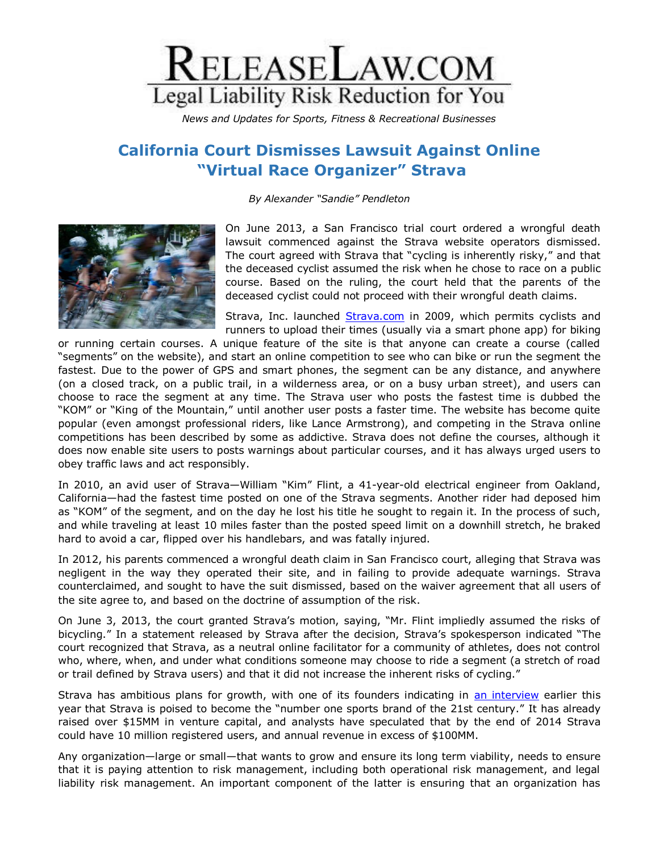

*News and Updates for Sports, Fitness & Recreational Businesses*

## **California Court Dismisses Lawsuit Against Online "Virtual Race Organizer" Strava**

*By Alexander "Sandie" Pendleton*



On June 2013, a San Francisco trial court ordered a wrongful death lawsuit commenced against the Strava website operators dismissed. The court agreed with Strava that "cycling is inherently risky," and that the deceased cyclist assumed the risk when he chose to race on a public course. Based on the ruling, the court held that the parents of the deceased cyclist could not proceed with their wrongful death claims.

Strava, Inc. launched [Strava.com](http://www.strava.com/) in 2009, which permits cyclists and runners to upload their times (usually via a smart phone app) for biking

or running certain courses. A unique feature of the site is that anyone can create a course (called "segments" on the website), and start an online competition to see who can bike or run the segment the fastest. Due to the power of GPS and smart phones, the segment can be any distance, and anywhere (on a closed track, on a public trail, in a wilderness area, or on a busy urban street), and users can choose to race the segment at any time. The Strava user who posts the fastest time is dubbed the "KOM" or "King of the Mountain," until another user posts a faster time. The website has become quite popular (even amongst professional riders, like Lance Armstrong), and competing in the Strava online competitions has been described by some as addictive. Strava does not define the courses, although it does now enable site users to posts warnings about particular courses, and it has always urged users to obey traffic laws and act responsibly.

In 2010, an avid user of Strava—William "Kim" Flint, a 41-year-old electrical engineer from Oakland, California—had the fastest time posted on one of the Strava segments. Another rider had deposed him as "KOM" of the segment, and on the day he lost his title he sought to regain it. In the process of such, and while traveling at least 10 miles faster than the posted speed limit on a downhill stretch, he braked hard to avoid a car, flipped over his handlebars, and was fatally injured.

In 2012, his parents commenced a wrongful death claim in San Francisco court, alleging that Strava was negligent in the way they operated their site, and in failing to provide adequate warnings. Strava counterclaimed, and sought to have the suit dismissed, based on the waiver agreement that all users of the site agree to, and based on the doctrine of assumption of the risk.

On June 3, 2013, the court granted Strava's motion, saying, "Mr. Flint impliedly assumed the risks of bicycling." In a statement released by Strava after the decision, Strava's spokesperson indicated "The court recognized that Strava, as a neutral online facilitator for a community of athletes, does not control who, where, when, and under what conditions someone may choose to ride a segment (a stretch of road or trail defined by Strava users) and that it did not increase the inherent risks of cycling."

Strava has ambitious plans for growth, with one of its founders indicating in [an interview](http://www.pehub.com/2013/03/19/a-vc-lets-big-bet-ride/) earlier this year that Strava is poised to become the "number one sports brand of the 21st century." It has already raised over \$15MM in venture capital, and analysts have speculated that by the end of 2014 Strava could have 10 million registered users, and annual revenue in excess of \$100MM.

Any organization—large or small—that wants to grow and ensure its long term viability, needs to ensure that it is paying attention to risk management, including both operational risk management, and legal liability risk management. An important component of the latter is ensuring that an organization has